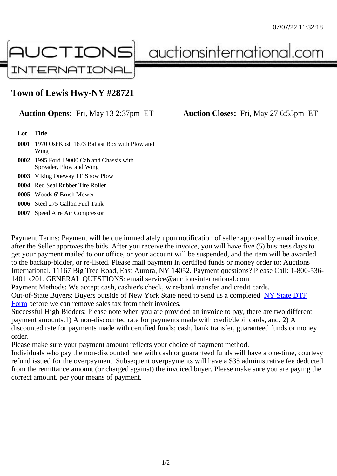## Town of Lewis Hwy-NY #28721

## Auction Opens: Fri, May 13 2:37pm ET Auction Closes: Fri, May 27 6:55pm ET

Lot Title

- 0001 1970 OshKosh 1673 Ballast Box with Plow and Wing
- 0002 1995 Ford L9000 Cab and Chassis with Spreader, Plow and Wing
- 0003 Viking Oneway 11' Snow Plow
- 0004 Red Seal Rubber Tire Roller
- 0005 Woods 6' Brush Mower
- 0006 Steel 275 Gallon Fuel Tank
- 0007 Speed Aire Air Compressor

Payment Terms: Payment will be due immediately upon notification of seller approval by email invoice, after the Seller approves the bids. After you receive the invoice, you will have five (5) business days to get your payment mailed to our office, or your account will be suspended, and the item will be awarded to the backup-bidder, or re-listed. Please mail payment in certified funds or money order to: Auctions International, 11167 Big Tree Road, East Aurora, NY 14052. Payment questions? Please Call: 1-800-53 1401 x201. GENERAL QUESTIONS: email service@auctionsinternational.com

Payment Methods: We accept cash, cashier's check, wire/bank transfer and credit cards.

Out-of-State Buyers: Buyers outside of New York State need to send us a com blestate DTF Form before we can remove sales tax from their invoices.

Successful High Bidders: Please note when you are provided an invoice to pay, there are two different payment amounts.1) A non-discounted rate for payments made with credit/de[bit cards, and](https://www.auctionsinternational.com/auxiliary/downloads/DTF_Form/dtf_fill_in.pdf), 2) A [disco](https://www.auctionsinternational.com/auxiliary/downloads/DTF_Form/dtf_fill_in.pdf)unted rate for payments made with certified funds; cash, bank transfer, guaranteed funds or mone order.

Please make sure your payment amount reflects your choice of payment method.

Individuals who pay the non-discounted rate with cash or guaranteed funds will have a one-time, courte refund issued for the overpayment. Subsequent overpayments will have a \$35 administrative fee deduc from the remittance amount (or charged against) the invoiced buyer. Please make sure you are paying correct amount, per your means of payment.